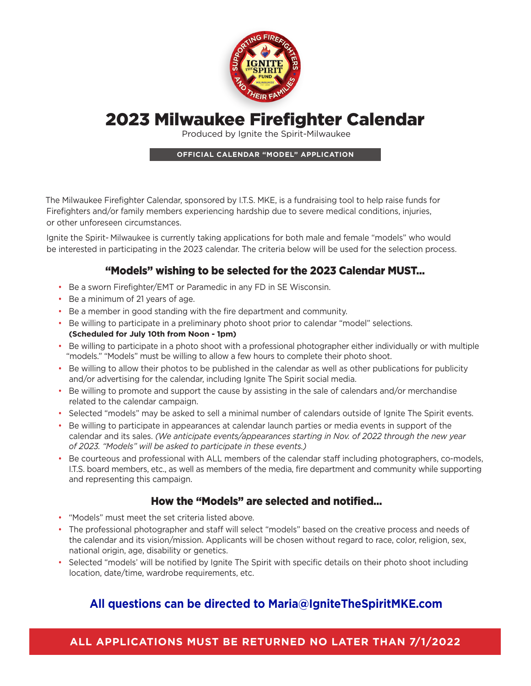

# 2023 Milwaukee Firefighter Calendar

Produced by Ignite the Spirit-Milwaukee

### **OFFICIAL CALENDAR "MODEL" APPLICATION**

The Milwaukee Firefighter Calendar, sponsored by I.T.S. MKE, is a fundraising tool to help raise funds for Firefighters and/or family members experiencing hardship due to severe medical conditions, injuries, or other unforeseen circumstances.

Ignite the Spirit- Milwaukee is currently taking applications for both male and female "models" who would be interested in participating in the 2023 calendar. The criteria below will be used for the selection process.

### "Models" wishing to be selected for the 2023 Calendar MUST…

- Be a sworn Firefighter/EMT or Paramedic in any FD in SE Wisconsin.
- Be a minimum of 21 years of age.
- Be a member in good standing with the fire department and community.
- Be willing to participate in a preliminary photo shoot prior to calendar "model" selections. **(Scheduled for July 10th from Noon - 1pm)**
- Be willing to participate in a photo shoot with a professional photographer either individually or with multiple "models." "Models" must be willing to allow a few hours to complete their photo shoot.
- Be willing to allow their photos to be published in the calendar as well as other publications for publicity and/or advertising for the calendar, including Ignite The Spirit social media.
- Be willing to promote and support the cause by assisting in the sale of calendars and/or merchandise related to the calendar campaign.
- Selected "models" may be asked to sell a minimal number of calendars outside of Ignite The Spirit events.
- Be willing to participate in appearances at calendar launch parties or media events in support of the calendar and its sales. *(We anticipate events/appearances starting in Nov. of 2022 through the new year of 2023. "Models" will be asked to participate in these events.)*
- Be courteous and professional with ALL members of the calendar staff including photographers, co-models, I.T.S. board members, etc., as well as members of the media, fire department and community while supporting and representing this campaign.

### How the "Models" are selected and notified…

- "Models" must meet the set criteria listed above.
- The professional photographer and staff will select "models" based on the creative process and needs of the calendar and its vision/mission. Applicants will be chosen without regard to race, color, religion, sex, national origin, age, disability or genetics.
- Selected "models' will be notified by Ignite The Spirit with specific details on their photo shoot including location, date/time, wardrobe requirements, etc.

## **All questions can be directed to [Maria@IgniteTheSpiritMKE.com](mailto:Maria%40IgniteTheSpiritMKE.com?subject=2022%20Calendar%20Model%20Inquiry)**

**ALL APPLICATIONS MUST BE RETURNED NO LATER THAN 7/1/2022**